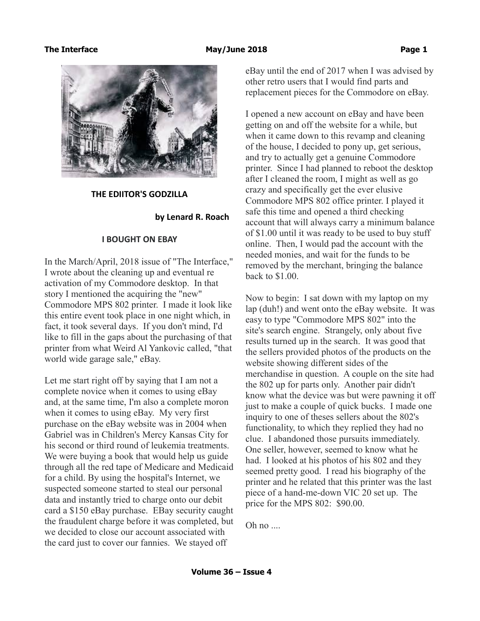#### The Interface **May/June 2018 May 10. 2018 Page 1**



### **THE EDIITOR'S GODZILLA**

#### **by Lenard R. Roach**

#### **I BOUGHT ON EBAY**

In the March/April, 2018 issue of "The Interface," I wrote about the cleaning up and eventual re activation of my Commodore desktop. In that story I mentioned the acquiring the "new" Commodore MPS 802 printer. I made it look like this entire event took place in one night which, in fact, it took several days. If you don't mind, I'd like to fill in the gaps about the purchasing of that printer from what Weird Al Yankovic called, "that world wide garage sale," eBay.

Let me start right off by saying that I am not a complete novice when it comes to using eBay and, at the same time, I'm also a complete moron when it comes to using eBay. My very first purchase on the eBay website was in 2004 when Gabriel was in Children's Mercy Kansas City for his second or third round of leukemia treatments. We were buying a book that would help us guide through all the red tape of Medicare and Medicaid for a child. By using the hospital's Internet, we suspected someone started to steal our personal data and instantly tried to charge onto our debit card a \$150 eBay purchase. EBay security caught the fraudulent charge before it was completed, but we decided to close our account associated with the card just to cover our fannies. We stayed off

eBay until the end of 2017 when I was advised by other retro users that I would find parts and replacement pieces for the Commodore on eBay.

I opened a new account on eBay and have been getting on and off the website for a while, but when it came down to this revamp and cleaning of the house, I decided to pony up, get serious, and try to actually get a genuine Commodore printer. Since I had planned to reboot the desktop after I cleaned the room, I might as well as go crazy and specifically get the ever elusive Commodore MPS 802 office printer. I played it safe this time and opened a third checking account that will always carry a minimum balance of \$1.00 until it was ready to be used to buy stuff online. Then, I would pad the account with the needed monies, and wait for the funds to be removed by the merchant, bringing the balance back to \$1.00.

Now to begin: I sat down with my laptop on my lap (duh!) and went onto the eBay website. It was easy to type "Commodore MPS 802" into the site's search engine. Strangely, only about five results turned up in the search. It was good that the sellers provided photos of the products on the website showing different sides of the merchandise in question. A couple on the site had the 802 up for parts only. Another pair didn't know what the device was but were pawning it off just to make a couple of quick bucks. I made one inquiry to one of theses sellers about the 802's functionality, to which they replied they had no clue. I abandoned those pursuits immediately. One seller, however, seemed to know what he had. I looked at his photos of his 802 and they seemed pretty good. I read his biography of the printer and he related that this printer was the last piece of a hand-me-down VIC 20 set up. The price for the MPS 802: \$90.00.

Oh no  $\ldots$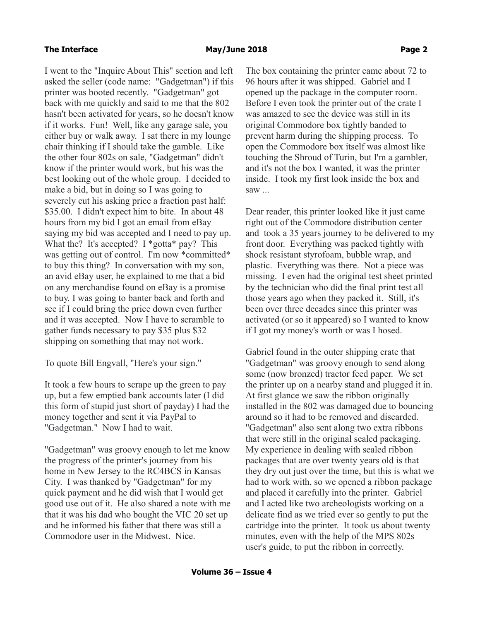I went to the "Inquire About This" section and left asked the seller (code name: "Gadgetman") if this printer was booted recently. "Gadgetman" got back with me quickly and said to me that the 802 hasn't been activated for years, so he doesn't know if it works. Fun! Well, like any garage sale, you either buy or walk away. I sat there in my lounge chair thinking if I should take the gamble. Like the other four 802s on sale, "Gadgetman" didn't know if the printer would work, but his was the best looking out of the whole group. I decided to make a bid, but in doing so I was going to severely cut his asking price a fraction past half: \$35.00. I didn't expect him to bite. In about 48 hours from my bid I got an email from eBay saying my bid was accepted and I need to pay up. What the? It's accepted? I \*gotta\* pay? This was getting out of control. I'm now \*committed\* to buy this thing? In conversation with my son, an avid eBay user, he explained to me that a bid on any merchandise found on eBay is a promise to buy. I was going to banter back and forth and see if I could bring the price down even further and it was accepted. Now I have to scramble to gather funds necessary to pay \$35 plus \$32 shipping on something that may not work.

To quote Bill Engvall, "Here's your sign."

It took a few hours to scrape up the green to pay up, but a few emptied bank accounts later (I did this form of stupid just short of payday) I had the money together and sent it via PayPal to "Gadgetman." Now I had to wait.

"Gadgetman" was groovy enough to let me know the progress of the printer's journey from his home in New Jersey to the RC4BCS in Kansas City. I was thanked by "Gadgetman" for my quick payment and he did wish that I would get good use out of it. He also shared a note with me that it was his dad who bought the VIC 20 set up and he informed his father that there was still a Commodore user in the Midwest. Nice.

The box containing the printer came about 72 to 96 hours after it was shipped. Gabriel and I opened up the package in the computer room. Before I even took the printer out of the crate I was amazed to see the device was still in its original Commodore box tightly banded to prevent harm during the shipping process. To open the Commodore box itself was almost like touching the Shroud of Turin, but I'm a gambler, and it's not the box I wanted, it was the printer inside. I took my first look inside the box and saw ...

Dear reader, this printer looked like it just came right out of the Commodore distribution center and took a 35 years journey to be delivered to my front door. Everything was packed tightly with shock resistant styrofoam, bubble wrap, and plastic. Everything was there. Not a piece was missing. I even had the original test sheet printed by the technician who did the final print test all those years ago when they packed it. Still, it's been over three decades since this printer was activated (or so it appeared) so I wanted to know if I got my money's worth or was I hosed.

Gabriel found in the outer shipping crate that "Gadgetman" was groovy enough to send along some (now bronzed) tractor feed paper. We set the printer up on a nearby stand and plugged it in. At first glance we saw the ribbon originally installed in the 802 was damaged due to bouncing around so it had to be removed and discarded. "Gadgetman" also sent along two extra ribbons that were still in the original sealed packaging. My experience in dealing with sealed ribbon packages that are over twenty years old is that they dry out just over the time, but this is what we had to work with, so we opened a ribbon package and placed it carefully into the printer. Gabriel and I acted like two archeologists working on a delicate find as we tried ever so gently to put the cartridge into the printer. It took us about twenty minutes, even with the help of the MPS 802s user's guide, to put the ribbon in correctly.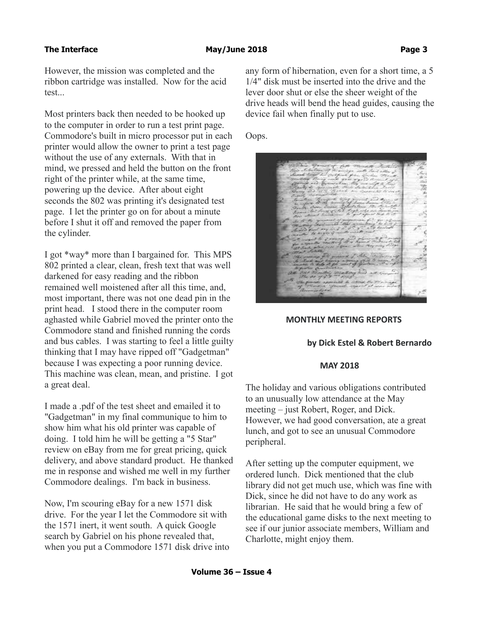### The Interface **May/June 2018 Page 3**

However, the mission was completed and the ribbon cartridge was installed. Now for the acid test...

Most printers back then needed to be hooked up to the computer in order to run a test print page. Commodore's built in micro processor put in each printer would allow the owner to print a test page without the use of any externals. With that in mind, we pressed and held the button on the front right of the printer while, at the same time, powering up the device. After about eight seconds the 802 was printing it's designated test page. I let the printer go on for about a minute before I shut it off and removed the paper from the cylinder.

I got \*way\* more than I bargained for. This MPS 802 printed a clear, clean, fresh text that was well darkened for easy reading and the ribbon remained well moistened after all this time, and, most important, there was not one dead pin in the print head. I stood there in the computer room aghasted while Gabriel moved the printer onto the Commodore stand and finished running the cords and bus cables. I was starting to feel a little guilty thinking that I may have ripped off "Gadgetman" because I was expecting a poor running device. This machine was clean, mean, and pristine. I got a great deal.

I made a .pdf of the test sheet and emailed it to "Gadgetman" in my final communique to him to show him what his old printer was capable of doing. I told him he will be getting a "5 Star" review on eBay from me for great pricing, quick delivery, and above standard product. He thanked me in response and wished me well in my further Commodore dealings. I'm back in business.

Now, I'm scouring eBay for a new 1571 disk drive. For the year I let the Commodore sit with the 1571 inert, it went south. A quick Google search by Gabriel on his phone revealed that, when you put a Commodore 1571 disk drive into any form of hibernation, even for a short time, a 5 1/4" disk must be inserted into the drive and the lever door shut or else the sheer weight of the drive heads will bend the head guides, causing the device fail when finally put to use.

Oops.



### **MONTHLY MEETING REPORTS**

### **by Dick Estel & Robert Bernardo**

#### **MAY 2018**

The holiday and various obligations contributed to an unusually low attendance at the May meeting – just Robert, Roger, and Dick. However, we had good conversation, ate a great lunch, and got to see an unusual Commodore peripheral.

After setting up the computer equipment, we ordered lunch. Dick mentioned that the club library did not get much use, which was fine with Dick, since he did not have to do any work as librarian. He said that he would bring a few of the educational game disks to the next meeting to see if our junior associate members, William and Charlotte, might enjoy them.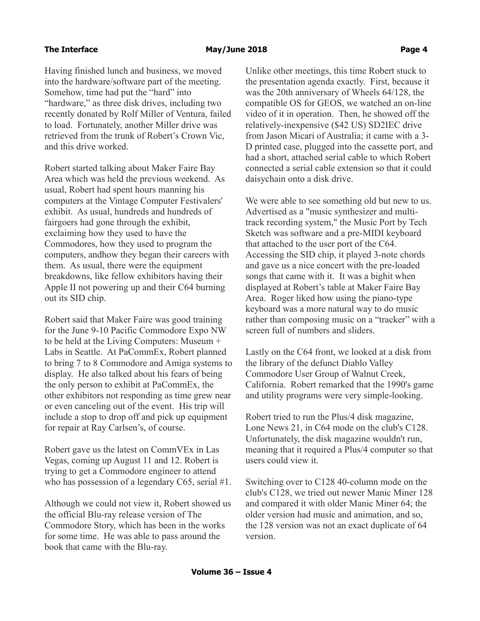Having finished lunch and business, we moved into the hardware/software part of the meeting. Somehow, time had put the "hard" into "hardware," as three disk drives, including two recently donated by Rolf Miller of Ventura, failed to load. Fortunately, another Miller drive was retrieved from the trunk of Robert's Crown Vic, and this drive worked.

Robert started talking about Maker Faire Bay Area which was held the previous weekend. As usual, Robert had spent hours manning his computers at the Vintage Computer Festivalers' exhibit. As usual, hundreds and hundreds of fairgoers had gone through the exhibit, exclaiming how they used to have the Commodores, how they used to program the computers, andhow they began their careers with them. As usual, there were the equipment breakdowns, like fellow exhibitors having their Apple II not powering up and their C64 burning out its SID chip.

Robert said that Maker Faire was good training for the June 9-10 Pacific Commodore Expo NW to be held at the Living Computers: Museum + Labs in Seattle. At PaCommEx, Robert planned to bring 7 to 8 Commodore and Amiga systems to display. He also talked about his fears of being the only person to exhibit at PaCommEx, the other exhibitors not responding as time grew near or even canceling out of the event. His trip will include a stop to drop off and pick up equipment for repair at Ray Carlsen's, of course.

Robert gave us the latest on CommVEx in Las Vegas, coming up August 11 and 12. Robert is trying to get a Commodore engineer to attend who has possession of a legendary C65, serial #1.

Although we could not view it, Robert showed us the official Blu-ray release version of The Commodore Story, which has been in the works for some time. He was able to pass around the book that came with the Blu-ray.

Unlike other meetings, this time Robert stuck to the presentation agenda exactly. First, because it was the 20th anniversary of Wheels 64/128, the compatible OS for GEOS, we watched an on-line video of it in operation. Then, he showed off the relatively-inexpensive (\$42 US) SD2IEC drive from Jason Micari of Australia; it came with a 3- D printed case, plugged into the cassette port, and had a short, attached serial cable to which Robert connected a serial cable extension so that it could daisychain onto a disk drive.

We were able to see something old but new to us. Advertised as a "music synthesizer and multitrack recording system," the Music Port by Tech Sketch was software and a pre-MIDI keyboard that attached to the user port of the C64. Accessing the SID chip, it played 3-note chords and gave us a nice concert with the pre-loaded songs that came with it. It was a bighit when displayed at Robert's table at Maker Faire Bay Area. Roger liked how using the piano-type keyboard was a more natural way to do music rather than composing music on a "tracker" with a screen full of numbers and sliders.

Lastly on the C64 front, we looked at a disk from the library of the defunct Diablo Valley Commodore User Group of Walnut Creek, California. Robert remarked that the 1990's game and utility programs were very simple-looking.

Robert tried to run the Plus/4 disk magazine, Lone News 21, in C64 mode on the club's C128. Unfortunately, the disk magazine wouldn't run, meaning that it required a Plus/4 computer so that users could view it.

Switching over to C128 40-column mode on the club's C128, we tried out newer Manic Miner 128 and compared it with older Manic Miner 64; the older version had music and animation, and so, the 128 version was not an exact duplicate of 64 version.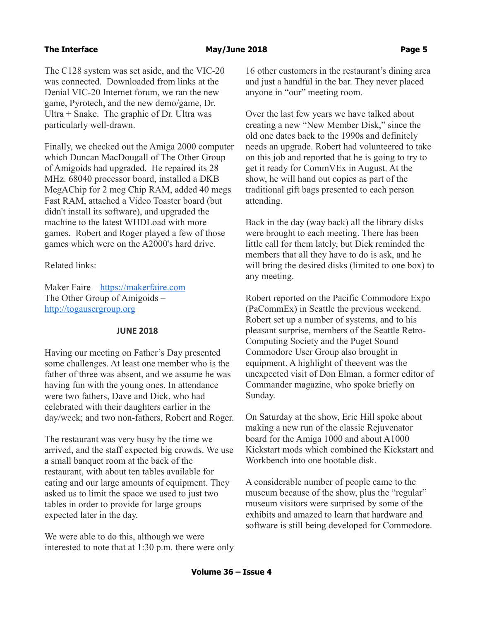### The Interface **May/June 2018 May 10. 2018 Page 5**

The C128 system was set aside, and the VIC-20 was connected. Downloaded from links at the Denial VIC-20 Internet forum, we ran the new game, Pyrotech, and the new demo/game, Dr. Ultra + Snake. The graphic of Dr. Ultra was particularly well-drawn.

Finally, we checked out the Amiga 2000 computer which Duncan MacDougall of The Other Group of Amigoids had upgraded. He repaired its 28 MHz. 68040 processor board, installed a DKB MegAChip for 2 meg Chip RAM, added 40 megs Fast RAM, attached a Video Toaster board (but didn't install its software), and upgraded the machine to the latest WHDLoad with more games. Robert and Roger played a few of those games which were on the A2000's hard drive.

Related links:

Maker Faire – [https://makerfaire.com](https://makerfaire.com/) The Other Group of Amigoids – [http://togausergroup.org](http://togausergroup.org/)

### **JUNE 2018**

Having our meeting on Father's Day presented some challenges. At least one member who is the father of three was absent, and we assume he was having fun with the young ones. In attendance were two fathers, Dave and Dick, who had celebrated with their daughters earlier in the day/week; and two non-fathers, Robert and Roger.

The restaurant was very busy by the time we arrived, and the staff expected big crowds. We use a small banquet room at the back of the restaurant, with about ten tables available for eating and our large amounts of equipment. They asked us to limit the space we used to just two tables in order to provide for large groups expected later in the day.

We were able to do this, although we were interested to note that at 1:30 p.m. there were only

16 other customers in the restaurant's dining area and just a handful in the bar. They never placed anyone in "our" meeting room.

Over the last few years we have talked about creating a new "New Member Disk," since the old one dates back to the 1990s and definitely needs an upgrade. Robert had volunteered to take on this job and reported that he is going to try to get it ready for CommVEx in August. At the show, he will hand out copies as part of the traditional gift bags presented to each person attending.

Back in the day (way back) all the library disks were brought to each meeting. There has been little call for them lately, but Dick reminded the members that all they have to do is ask, and he will bring the desired disks (limited to one box) to any meeting.

Robert reported on the Pacific Commodore Expo (PaCommEx) in Seattle the previous weekend. Robert set up a number of systems, and to his pleasant surprise, members of the Seattle Retro-Computing Society and the Puget Sound Commodore User Group also brought in equipment. A highlight of theevent was the unexpected visit of Don Elman, a former editor of Commander magazine, who spoke briefly on Sunday.

On Saturday at the show, Eric Hill spoke about making a new run of the classic Rejuvenator board for the Amiga 1000 and about A1000 Kickstart mods which combined the Kickstart and Workbench into one bootable disk.

A considerable number of people came to the museum because of the show, plus the "regular" museum visitors were surprised by some of the exhibits and amazed to learn that hardware and software is still being developed for Commodore.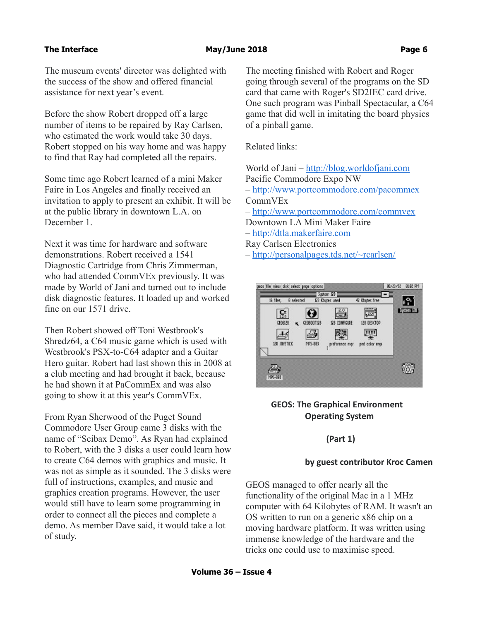### The Interface **May/June 2018 May 10** May 10 May 10 May 10 May 10 May 10 May 10 May 10 May 10 May 10 May 10 May 10 May 10 May 10 May 10 May 10 May 10 May 10 May 10 May 10 May 10 May 10 May 10 May 10 May 10 May 10 May 10 M

The museum events' director was delighted with the success of the show and offered financial assistance for next year's event.

Before the show Robert dropped off a large number of items to be repaired by Ray Carlsen, who estimated the work would take 30 days. Robert stopped on his way home and was happy to find that Ray had completed all the repairs.

Some time ago Robert learned of a mini Maker Faire in Los Angeles and finally received an invitation to apply to present an exhibit. It will be at the public library in downtown L.A. on December 1.

Next it was time for hardware and software demonstrations. Robert received a 1541 Diagnostic Cartridge from Chris Zimmerman, who had attended CommVEx previously. It was made by World of Jani and turned out to include disk diagnostic features. It loaded up and worked fine on our 1571 drive.

Then Robert showed off Toni Westbrook's Shredz64, a C64 music game which is used with Westbrook's PSX-to-C64 adapter and a Guitar Hero guitar. Robert had last shown this in 2008 at a club meeting and had brought it back, because he had shown it at PaCommEx and was also going to show it at this year's CommVEx.

From Ryan Sherwood of the Puget Sound Commodore User Group came 3 disks with the name of "Scibax Demo". As Ryan had explained to Robert, with the 3 disks a user could learn how to create C64 demos with graphics and music. It was not as simple as it sounded. The 3 disks were full of instructions, examples, and music and graphics creation programs. However, the user would still have to learn some programming in order to connect all the pieces and complete a demo. As member Dave said, it would take a lot of study.

The meeting finished with Robert and Roger going through several of the programs on the SD card that came with Roger's SD2IEC card drive. One such program was Pinball Spectacular, a C64 game that did well in imitating the board physics of a pinball game.

Related links:

World of Jani – [http://blog.worldofjani.com](http://blog.worldofjani.com/) Pacific Commodore Expo NW – <http://www.portcommodore.com/pacommex> CommVEx – <http://www.portcommodore.com/commvex> Downtown LA Mini Maker Faire – [http://dtla.makerfaire.com](http://dtla.makerfaire.com/) Ray Carlsen Electronics – <http://personalpages.tds.net/~rcarlsen/>



# **GEOS: The Graphical Environment Operating System**

# **(Part 1)**

# **by guest contributor Kroc Camen**

GEOS managed to offer nearly all the functionality of the original Mac in a 1 MHz computer with 64 Kilobytes of RAM. It wasn't an OS written to run on a generic x86 chip on a moving hardware platform. It was written using immense knowledge of the hardware and the tricks one could use to maximise speed.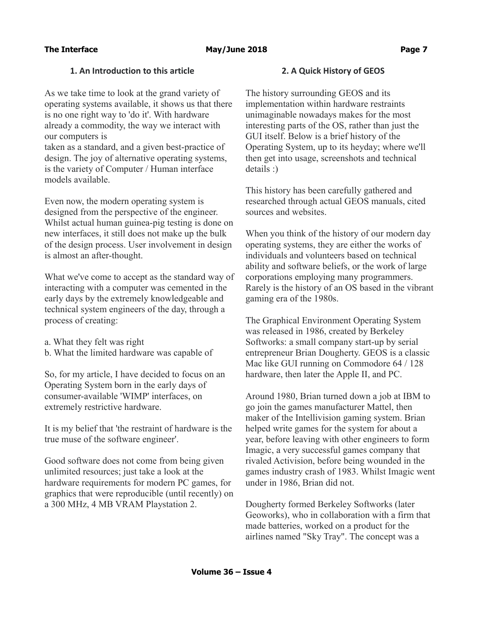# **1. An Introduction to this article**

As we take time to look at the grand variety of operating systems available, it shows us that there is no one right way to 'do it'. With hardware already a commodity, the way we interact with our computers is taken as a standard, and a given best-practice of design. The joy of alternative operating systems, is the variety of Computer / Human interface models available.

Even now, the modern operating system is designed from the perspective of the engineer. Whilst actual human guinea-pig testing is done on new interfaces, it still does not make up the bulk of the design process. User involvement in design is almost an after-thought.

What we've come to accept as the standard way of interacting with a computer was cemented in the early days by the extremely knowledgeable and technical system engineers of the day, through a process of creating:

- a. What they felt was right
- b. What the limited hardware was capable of

So, for my article, I have decided to focus on an Operating System born in the early days of consumer-available 'WIMP' interfaces, on extremely restrictive hardware.

It is my belief that 'the restraint of hardware is the true muse of the software engineer'.

Good software does not come from being given unlimited resources; just take a look at the hardware requirements for modern PC games, for graphics that were reproducible (until recently) on a 300 MHz, 4 MB VRAM Playstation 2.

# **2. A Quick History of GEOS**

The history surrounding GEOS and its implementation within hardware restraints unimaginable nowadays makes for the most interesting parts of the OS, rather than just the GUI itself. Below is a brief history of the Operating System, up to its heyday; where we'll then get into usage, screenshots and technical details :)

This history has been carefully gathered and researched through actual GEOS manuals, cited sources and websites.

When you think of the history of our modern day operating systems, they are either the works of individuals and volunteers based on technical ability and software beliefs, or the work of large corporations employing many programmers. Rarely is the history of an OS based in the vibrant gaming era of the 1980s.

The Graphical Environment Operating System was released in 1986, created by Berkeley Softworks: a small company start-up by serial entrepreneur Brian Dougherty. GEOS is a classic Mac like GUI running on Commodore 64 / 128 hardware, then later the Apple II, and PC.

Around 1980, Brian turned down a job at IBM to go join the games manufacturer Mattel, then maker of the Intellivision gaming system. Brian helped write games for the system for about a year, before leaving with other engineers to form Imagic, a very successful games company that rivaled Activision, before being wounded in the games industry crash of 1983. Whilst Imagic went under in 1986, Brian did not.

Dougherty formed Berkeley Softworks (later Geoworks), who in collaboration with a firm that made batteries, worked on a product for the airlines named "Sky Tray". The concept was a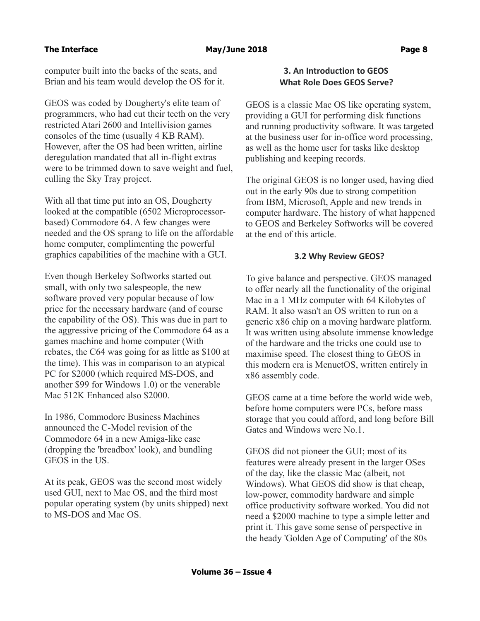computer built into the backs of the seats, and Brian and his team would develop the OS for it.

GEOS was coded by Dougherty's elite team of programmers, who had cut their teeth on the very restricted Atari 2600 and Intellivision games consoles of the time (usually 4 KB RAM). However, after the OS had been written, airline deregulation mandated that all in-flight extras were to be trimmed down to save weight and fuel, culling the Sky Tray project.

With all that time put into an OS, Dougherty looked at the compatible (6502 Microprocessorbased) Commodore 64. A few changes were needed and the OS sprang to life on the affordable home computer, complimenting the powerful graphics capabilities of the machine with a GUI.

Even though Berkeley Softworks started out small, with only two salespeople, the new software proved very popular because of low price for the necessary hardware (and of course the capability of the OS). This was due in part to the aggressive pricing of the Commodore 64 as a games machine and home computer (With rebates, the C64 was going for as little as \$100 at the time). This was in comparison to an atypical PC for \$2000 (which required MS-DOS, and another \$99 for Windows 1.0) or the venerable Mac 512K Enhanced also \$2000.

In 1986, Commodore Business Machines announced the C-Model revision of the Commodore 64 in a new Amiga-like case (dropping the 'breadbox' look), and bundling GEOS in the US.

At its peak, GEOS was the second most widely used GUI, next to Mac OS, and the third most popular operating system (by units shipped) next to MS-DOS and Mac OS.

# **3. An Introduction to GEOS What Role Does GEOS Serve?**

GEOS is a classic Mac OS like operating system, providing a GUI for performing disk functions and running productivity software. It was targeted at the business user for in-office word processing, as well as the home user for tasks like desktop publishing and keeping records.

The original GEOS is no longer used, having died out in the early 90s due to strong competition from IBM, Microsoft, Apple and new trends in computer hardware. The history of what happened to GEOS and Berkeley Softworks will be covered at the end of this article.

# **3.2 Why Review GEOS?**

To give balance and perspective. GEOS managed to offer nearly all the functionality of the original Mac in a 1 MHz computer with 64 Kilobytes of RAM. It also wasn't an OS written to run on a generic x86 chip on a moving hardware platform. It was written using absolute immense knowledge of the hardware and the tricks one could use to maximise speed. The closest thing to GEOS in this modern era is MenuetOS, written entirely in x86 assembly code.

GEOS came at a time before the world wide web, before home computers were PCs, before mass storage that you could afford, and long before Bill Gates and Windows were No.1.

GEOS did not pioneer the GUI; most of its features were already present in the larger OSes of the day, like the classic Mac (albeit, not Windows). What GEOS did show is that cheap, low-power, commodity hardware and simple office productivity software worked. You did not need a \$2000 machine to type a simple letter and print it. This gave some sense of perspective in the heady 'Golden Age of Computing' of the 80s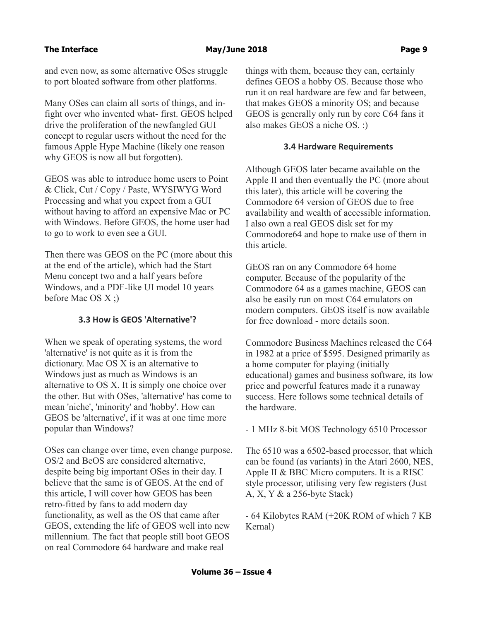and even now, as some alternative OSes struggle to port bloated software from other platforms.

Many OSes can claim all sorts of things, and infight over who invented what- first. GEOS helped drive the proliferation of the newfangled GUI concept to regular users without the need for the famous Apple Hype Machine (likely one reason why GEOS is now all but forgotten).

GEOS was able to introduce home users to Point & Click, Cut / Copy / Paste, WYSIWYG Word Processing and what you expect from a GUI without having to afford an expensive Mac or PC with Windows. Before GEOS, the home user had to go to work to even see a GUI.

Then there was GEOS on the PC (more about this at the end of the article), which had the Start Menu concept two and a half years before Windows, and a PDF-like UI model 10 years before Mac OS X ;)

# **3.3 How is GEOS 'Alternative'?**

When we speak of operating systems, the word 'alternative' is not quite as it is from the dictionary. Mac OS X is an alternative to Windows just as much as Windows is an alternative to OS X. It is simply one choice over the other. But with OSes, 'alternative' has come to mean 'niche', 'minority' and 'hobby'. How can GEOS be 'alternative', if it was at one time more popular than Windows?

OSes can change over time, even change purpose. OS/2 and BeOS are considered alternative, despite being big important OSes in their day. I believe that the same is of GEOS. At the end of this article, I will cover how GEOS has been retro-fitted by fans to add modern day functionality, as well as the OS that came after GEOS, extending the life of GEOS well into new millennium. The fact that people still boot GEOS on real Commodore 64 hardware and make real

things with them, because they can, certainly defines GEOS a hobby OS. Because those who run it on real hardware are few and far between, that makes GEOS a minority OS; and because GEOS is generally only run by core C64 fans it also makes GEOS a niche OS. :)

# **3.4 Hardware Requirements**

Although GEOS later became available on the Apple II and then eventually the PC (more about this later), this article will be covering the Commodore 64 version of GEOS due to free availability and wealth of accessible information. I also own a real GEOS disk set for my Commodore64 and hope to make use of them in this article.

GEOS ran on any Commodore 64 home computer. Because of the popularity of the Commodore 64 as a games machine, GEOS can also be easily run on most C64 emulators on modern computers. GEOS itself is now available for free download - more details soon.

Commodore Business Machines released the C64 in 1982 at a price of \$595. Designed primarily as a home computer for playing (initially educational) games and business software, its low price and powerful features made it a runaway success. Here follows some technical details of the hardware.

- 1 MHz 8-bit MOS Technology 6510 Processor

The 6510 was a 6502-based processor, that which can be found (as variants) in the Atari 2600, NES, Apple II & BBC Micro computers. It is a RISC style processor, utilising very few registers (Just A, X, Y & a 256-byte Stack)

- 64 Kilobytes RAM (+20K ROM of which 7 KB Kernal)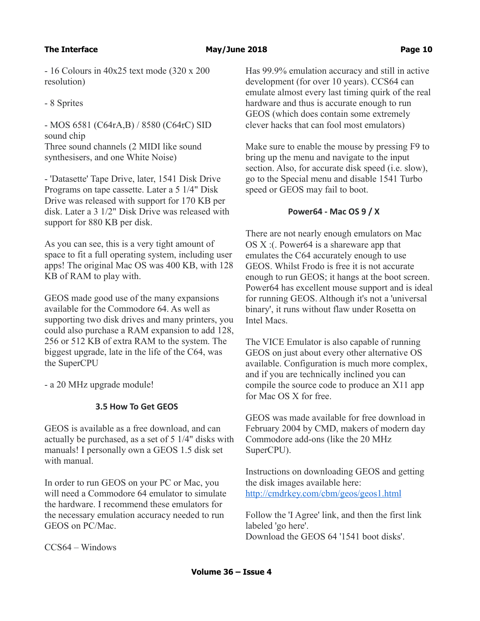### **The Interface Community Community Community Community May/June 2018** Community Community Page 10

- 16 Colours in 40x25 text mode (320 x 200 resolution)

- 8 Sprites

- MOS 6581 (C64rA,B) / 8580 (C64rC) SID sound chip Three sound channels (2 MIDI like sound synthesisers, and one White Noise)

- 'Datasette' Tape Drive, later, 1541 Disk Drive Programs on tape cassette. Later a 5 1/4" Disk Drive was released with support for 170 KB per disk. Later a 3 1/2" Disk Drive was released with support for 880 KB per disk.

As you can see, this is a very tight amount of space to fit a full operating system, including user apps! The original Mac OS was 400 KB, with 128 KB of RAM to play with.

GEOS made good use of the many expansions available for the Commodore 64. As well as supporting two disk drives and many printers, you could also purchase a RAM expansion to add 128, 256 or 512 KB of extra RAM to the system. The biggest upgrade, late in the life of the C64, was the SuperCPU

- a 20 MHz upgrade module!

# **3.5 How To Get GEOS**

GEOS is available as a free download, and can actually be purchased, as a set of 5 1/4" disks with manuals! I personally own a GEOS 1.5 disk set with manual.

In order to run GEOS on your PC or Mac, you will need a Commodore 64 emulator to simulate the hardware. I recommend these emulators for the necessary emulation accuracy needed to run GEOS on PC/Mac.

Has 99.9% emulation accuracy and still in active development (for over 10 years). CCS64 can emulate almost every last timing quirk of the real hardware and thus is accurate enough to run GEOS (which does contain some extremely clever hacks that can fool most emulators)

Make sure to enable the mouse by pressing F9 to bring up the menu and navigate to the input section. Also, for accurate disk speed (i.e. slow), go to the Special menu and disable 1541 Turbo speed or GEOS may fail to boot.

# **Power64 - Mac OS 9 / X**

There are not nearly enough emulators on Mac OS X :(. Power64 is a shareware app that emulates the C64 accurately enough to use GEOS. Whilst Frodo is free it is not accurate enough to run GEOS; it hangs at the boot screen. Power64 has excellent mouse support and is ideal for running GEOS. Although it's not a 'universal binary', it runs without flaw under Rosetta on Intel Macs.

The VICE Emulator is also capable of running GEOS on just about every other alternative OS available. Configuration is much more complex, and if you are technically inclined you can compile the source code to produce an X11 app for Mac OS X for free.

GEOS was made available for free download in February 2004 by CMD, makers of modern day Commodore add-ons (like the 20 MHz SuperCPU).

Instructions on downloading GEOS and getting the disk images available here: <http://cmdrkey.com/cbm/geos/geos1.html>

Follow the 'I Agree' link, and then the first link labeled 'go here'. Download the GEOS 64 '1541 boot disks'.

CCS64 – Windows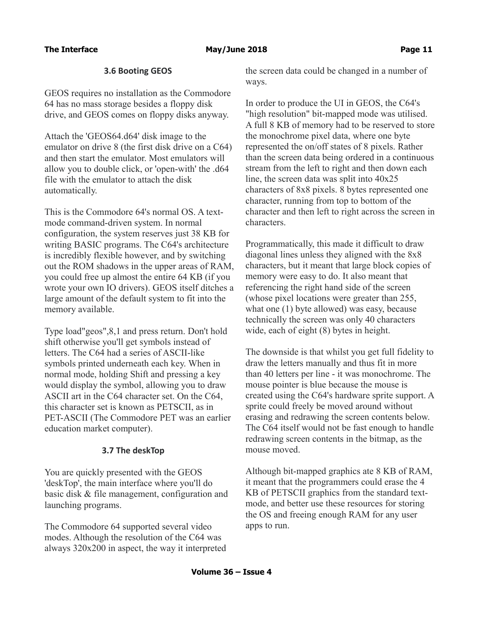# **3.6 Booting GEOS**

GEOS requires no installation as the Commodore 64 has no mass storage besides a floppy disk drive, and GEOS comes on floppy disks anyway.

Attach the 'GEOS64.d64' disk image to the emulator on drive 8 (the first disk drive on a C64) and then start the emulator. Most emulators will allow you to double click, or 'open-with' the .d64 file with the emulator to attach the disk automatically.

This is the Commodore 64's normal OS. A textmode command-driven system. In normal configuration, the system reserves just 38 KB for writing BASIC programs. The C64's architecture is incredibly flexible however, and by switching out the ROM shadows in the upper areas of RAM, you could free up almost the entire 64 KB (if you wrote your own IO drivers). GEOS itself ditches a large amount of the default system to fit into the memory available.

Type load"geos",8,1 and press return. Don't hold shift otherwise you'll get symbols instead of letters. The C64 had a series of ASCII-like symbols printed underneath each key. When in normal mode, holding Shift and pressing a key would display the symbol, allowing you to draw ASCII art in the C64 character set. On the C64, this character set is known as PETSCII, as in PET-ASCII (The Commodore PET was an earlier education market computer).

# **3.7 The deskTop**

You are quickly presented with the GEOS 'deskTop', the main interface where you'll do basic disk & file management, configuration and launching programs.

The Commodore 64 supported several video modes. Although the resolution of the C64 was always 320x200 in aspect, the way it interpreted the screen data could be changed in a number of ways.

In order to produce the UI in GEOS, the C64's "high resolution" bit-mapped mode was utilised. A full 8 KB of memory had to be reserved to store the monochrome pixel data, where one byte represented the on/off states of 8 pixels. Rather than the screen data being ordered in a continuous stream from the left to right and then down each line, the screen data was split into 40x25 characters of 8x8 pixels. 8 bytes represented one character, running from top to bottom of the character and then left to right across the screen in characters.

Programmatically, this made it difficult to draw diagonal lines unless they aligned with the 8x8 characters, but it meant that large block copies of memory were easy to do. It also meant that referencing the right hand side of the screen (whose pixel locations were greater than 255, what one (1) byte allowed) was easy, because technically the screen was only 40 characters wide, each of eight (8) bytes in height.

The downside is that whilst you get full fidelity to draw the letters manually and thus fit in more than 40 letters per line - it was monochrome. The mouse pointer is blue because the mouse is created using the C64's hardware sprite support. A sprite could freely be moved around without erasing and redrawing the screen contents below. The C64 itself would not be fast enough to handle redrawing screen contents in the bitmap, as the mouse moved.

Although bit-mapped graphics ate 8 KB of RAM, it meant that the programmers could erase the 4 KB of PETSCII graphics from the standard textmode, and better use these resources for storing the OS and freeing enough RAM for any user apps to run.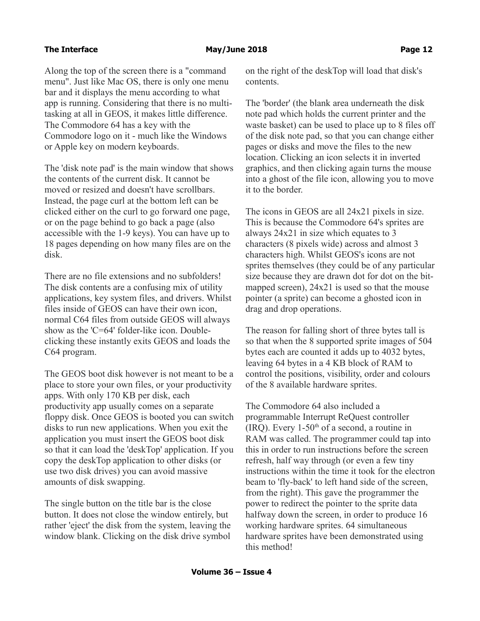Along the top of the screen there is a "command menu". Just like Mac OS, there is only one menu bar and it displays the menu according to what app is running. Considering that there is no multitasking at all in GEOS, it makes little difference. The Commodore 64 has a key with the Commodore logo on it - much like the Windows or Apple key on modern keyboards.

The 'disk note pad' is the main window that shows the contents of the current disk. It cannot be moved or resized and doesn't have scrollbars. Instead, the page curl at the bottom left can be clicked either on the curl to go forward one page, or on the page behind to go back a page (also accessible with the 1-9 keys). You can have up to 18 pages depending on how many files are on the disk.

There are no file extensions and no subfolders! The disk contents are a confusing mix of utility applications, key system files, and drivers. Whilst files inside of GEOS can have their own icon, normal C64 files from outside GEOS will always show as the 'C=64' folder-like icon. Doubleclicking these instantly exits GEOS and loads the C64 program.

The GEOS boot disk however is not meant to be a place to store your own files, or your productivity apps. With only 170 KB per disk, each productivity app usually comes on a separate floppy disk. Once GEOS is booted you can switch disks to run new applications. When you exit the application you must insert the GEOS boot disk so that it can load the 'deskTop' application. If you copy the deskTop application to other disks (or use two disk drives) you can avoid massive amounts of disk swapping.

The single button on the title bar is the close button. It does not close the window entirely, but rather 'eject' the disk from the system, leaving the window blank. Clicking on the disk drive symbol

on the right of the deskTop will load that disk's contents.

The 'border' (the blank area underneath the disk note pad which holds the current printer and the waste basket) can be used to place up to 8 files off of the disk note pad, so that you can change either pages or disks and move the files to the new location. Clicking an icon selects it in inverted graphics, and then clicking again turns the mouse into a ghost of the file icon, allowing you to move it to the border.

The icons in GEOS are all 24x21 pixels in size. This is because the Commodore 64's sprites are always 24x21 in size which equates to 3 characters (8 pixels wide) across and almost 3 characters high. Whilst GEOS's icons are not sprites themselves (they could be of any particular size because they are drawn dot for dot on the bitmapped screen), 24x21 is used so that the mouse pointer (a sprite) can become a ghosted icon in drag and drop operations.

The reason for falling short of three bytes tall is so that when the 8 supported sprite images of 504 bytes each are counted it adds up to 4032 bytes, leaving 64 bytes in a 4 KB block of RAM to control the positions, visibility, order and colours of the 8 available hardware sprites.

The Commodore 64 also included a programmable Interrupt ReQuest controller (IRQ). Every  $1-50<sup>th</sup>$  of a second, a routine in RAM was called. The programmer could tap into this in order to run instructions before the screen refresh, half way through (or even a few tiny instructions within the time it took for the electron beam to 'fly-back' to left hand side of the screen, from the right). This gave the programmer the power to redirect the pointer to the sprite data halfway down the screen, in order to produce 16 working hardware sprites. 64 simultaneous hardware sprites have been demonstrated using this method!